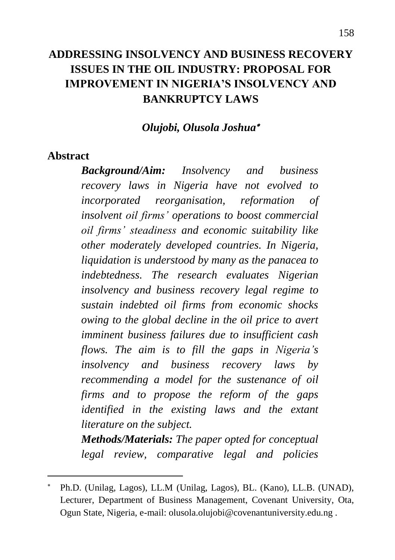# **ADDRESSING INSOLVENCY AND BUSINESS RECOVERY ISSUES IN THE OIL INDUSTRY: PROPOSAL FOR IMPROVEMENT IN NIGERIA'S INSOLVENCY AND BANKRUPTCY LAWS**

#### *Olujobi, Olusola Joshua*

#### **Abstract**

 $\ddot{\phantom{a}}$ 

*Background/Aim: Insolvency and business recovery laws in Nigeria have not evolved to incorporated reorganisation, reformation of insolvent oil firms' operations to boost commercial oil firms' steadiness and economic suitability like other moderately developed countries. In Nigeria, liquidation is understood by many as the panacea to indebtedness. The research evaluates Nigerian insolvency and business recovery legal regime to sustain indebted oil firms from economic shocks owing to the global decline in the oil price to avert imminent business failures due to insufficient cash flows. The aim is to fill the gaps in Nigeria's insolvency and business recovery laws by recommending a model for the sustenance of oil firms and to propose the reform of the gaps identified in the existing laws and the extant literature on the subject. Methods/Materials: The paper opted for conceptual* 

*legal review, comparative legal and policies*

Ph.D. (Unilag, Lagos), LL.M (Unilag, Lagos), BL. (Kano), LL.B. (UNAD), Lecturer, Department of Business Management, Covenant University, Ota, Ogun State, Nigeria, e-mail: olusola.olujobi@covenantuniversity.edu.ng .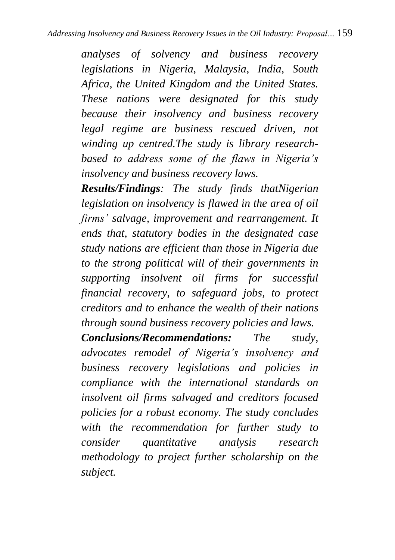*analyses of solvency and business recovery legislations in Nigeria, Malaysia, India, South Africa, the United Kingdom and the United States. These nations were designated for this study because their insolvency and business recovery legal regime are business rescued driven, not winding up centred.The study is library researchbased to address some of the flaws in Nigeria's insolvency and business recovery laws.*

*Results/Findings: The study finds thatNigerian legislation on insolvency is flawed in the area of oil firms' salvage, improvement and rearrangement. It ends that, statutory bodies in the designated case study nations are efficient than those in Nigeria due to the strong political will of their governments in supporting insolvent oil firms for successful financial recovery, to safeguard jobs, to protect creditors and to enhance the wealth of their nations through sound business recovery policies and laws.*

*Conclusions/Recommendations: The study, advocates remodel of Nigeria's insolvency and business recovery legislations and policies in compliance with the international standards on insolvent oil firms salvaged and creditors focused policies for a robust economy. The study concludes with the recommendation for further study to consider quantitative analysis research methodology to project further scholarship on the subject.*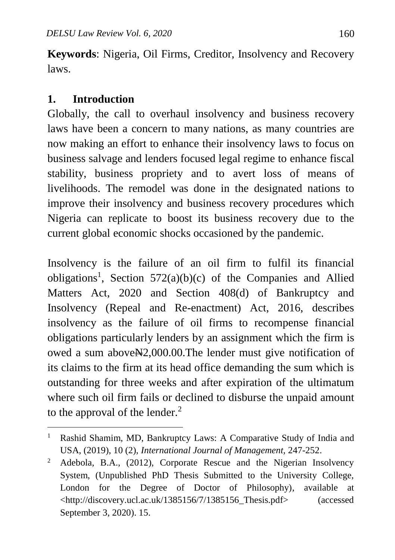**Keywords**: Nigeria, Oil Firms, Creditor, Insolvency and Recovery laws.

#### **1. Introduction**

 $\overline{a}$ 

Globally, the call to overhaul insolvency and business recovery laws have been a concern to many nations, as many countries are now making an effort to enhance their insolvency laws to focus on business salvage and lenders focused legal regime to enhance fiscal stability, business propriety and to avert loss of means of livelihoods. The remodel was done in the designated nations to improve their insolvency and business recovery procedures which Nigeria can replicate to boost its business recovery due to the current global economic shocks occasioned by the pandemic.

Insolvency is the failure of an oil firm to fulfil its financial obligations<sup>1</sup>, Section 572(a)(b)(c) of the Companies and Allied Matters Act, 2020 and Section 408(d) of Bankruptcy and Insolvency (Repeal and Re**-**enactment) Act, 2016, describes insolvency as the failure of oil firms to recompense financial obligations particularly lenders by an assignment which the firm is owed a sum above N<sub>2</sub>,000.00. The lender must give notification of its claims to the firm at its head office demanding the sum which is outstanding for three weeks and after expiration of the ultimatum where such oil firm fails or declined to disburse the unpaid amount to the approval of the lender.<sup>2</sup>

<sup>&</sup>lt;sup>1</sup> Rashid Shamim, MD, Bankruptcy Laws: A Comparative Study of India and USA, (2019), 10 (2), *International Journal of Management,* 247-252.

<sup>2</sup> Adebola, B.A., (2012), Corporate Rescue and the Nigerian Insolvency System, (Unpublished PhD Thesis Submitted to the University College, London for the Degree of Doctor of Philosophy), available at <http://discovery.ucl.ac.uk/1385156/7/1385156\_Thesis.pdf> (accessed September 3, 2020). 15.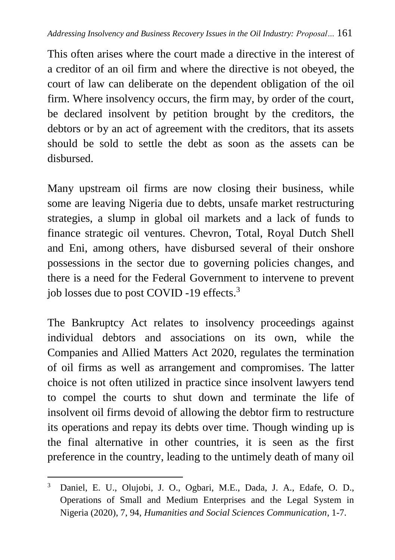This often arises where the court made a directive in the interest of a creditor of an oil firm and where the directive is not obeyed, the court of law can deliberate on the dependent obligation of the oil firm. Where insolvency occurs, the firm may, by order of the court, be declared insolvent by petition brought by the creditors, the debtors or by an act of agreement with the creditors, that its assets should be sold to settle the debt as soon as the assets can be disbursed.

Many upstream oil firms are now closing their business, while some are leaving Nigeria due to debts, unsafe market restructuring strategies, a slump in global oil markets and a lack of funds to finance strategic oil ventures. Chevron, Total, Royal Dutch Shell and Eni, among others, have disbursed several of their onshore possessions in the sector due to governing policies changes, and there is a need for the Federal Government to intervene to prevent job losses due to post COVID -19 effects.<sup>3</sup>

The Bankruptcy Act relates to insolvency proceedings against individual debtors and associations on its own, while the Companies and Allied Matters Act 2020, regulates the termination of oil firms as well as arrangement and compromises. The latter choice is not often utilized in practice since insolvent lawyers tend to compel the courts to shut down and terminate the life of insolvent oil firms devoid of allowing the debtor firm to restructure its operations and repay its debts over time. Though winding up is the final alternative in other countries, it is seen as the first preference in the country, leading to the untimely death of many oil

<sup>3</sup> Daniel, E. U., Olujobi, J. O., Ogbari, M.E., Dada, J. A., Edafe, O. D., Operations of Small and Medium Enterprises and the Legal System in Nigeria (2020), 7, 94, *Humanities and Social Sciences Communication*, 1-7.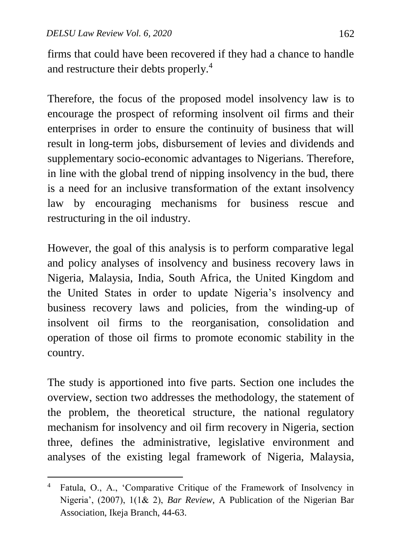$\overline{a}$ 

firms that could have been recovered if they had a chance to handle and restructure their debts properly.<sup>4</sup>

Therefore, the focus of the proposed model insolvency law is to encourage the prospect of reforming insolvent oil firms and their enterprises in order to ensure the continuity of business that will result in long-term jobs, disbursement of levies and dividends and supplementary socio-economic advantages to Nigerians. Therefore, in line with the global trend of nipping insolvency in the bud, there is a need for an inclusive transformation of the extant insolvency law by encouraging mechanisms for business rescue and restructuring in the oil industry.

However, the goal of this analysis is to perform comparative legal and policy analyses of insolvency and business recovery laws in Nigeria, Malaysia, India, South Africa, the United Kingdom and the United States in order to update Nigeria's insolvency and business recovery laws and policies, from the winding-up of insolvent oil firms to the reorganisation, consolidation and operation of those oil firms to promote economic stability in the country.

The study is apportioned into five parts. Section one includes the overview, section two addresses the methodology, the statement of the problem, the theoretical structure, the national regulatory mechanism for insolvency and oil firm recovery in Nigeria, section three, defines the administrative, legislative environment and analyses of the existing legal framework of Nigeria, Malaysia,

<sup>4</sup> Fatula, O., A., 'Comparative Critique of the Framework of Insolvency in Nigeria', (2007), 1(1& 2), *Bar Review*, A Publication of the Nigerian Bar Association, Ikeja Branch, 44**-**63.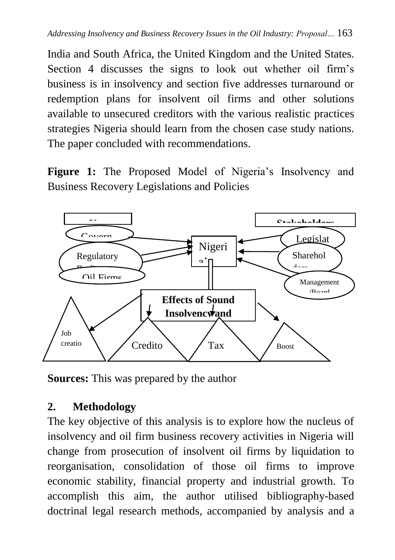India and South Africa, the United Kingdom and the United States. Section 4 discusses the signs to look out whether oil firm's business is in insolvency and section five addresses turnaround or redemption plans for insolvent oil firms and other solutions available to unsecured creditors with the various realistic practices strategies Nigeria should learn from the chosen case study nations. The paper concluded with recommendations.

**Figure 1:** The Proposed Model of Nigeria's Insolvency and Business Recovery Legislations and Policies



**Sources:** This was prepared by the author  $\mathbf{r}$ . urees: This wes prepared by the outhor

# **2. Methodology**

The key objective of this analysis is to explore how the nucleus of insolvency and oil firm business recovery activities in Nigeria will change from prosecution of insolvent oil firms by liquidation to reorganisation, consolidation of those oil firms to improve economic stability, financial property and industrial growth. To accomplish this aim, the author utilised bibliography-based doctrinal legal research methods, accompanied by analysis and a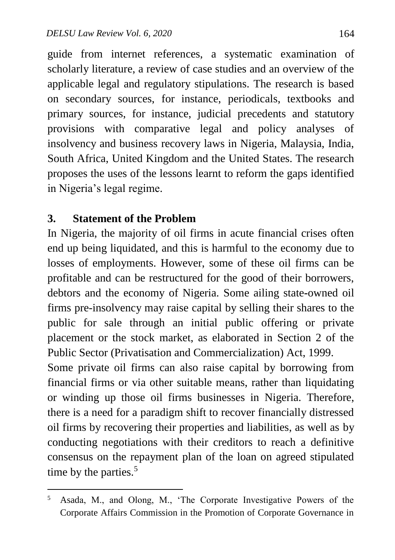guide from internet references, a systematic examination of scholarly literature, a review of case studies and an overview of the applicable legal and regulatory stipulations. The research is based on secondary sources, for instance, periodicals, textbooks and primary sources, for instance, judicial precedents and statutory provisions with comparative legal and policy analyses of insolvency and business recovery laws in Nigeria, Malaysia, India, South Africa, United Kingdom and the United States. The research proposes the uses of the lessons learnt to reform the gaps identified in Nigeria's legal regime.

#### **3. Statement of the Problem**

 $\overline{a}$ 

In Nigeria, the majority of oil firms in acute financial crises often end up being liquidated, and this is harmful to the economy due to losses of employments. However, some of these oil firms can be profitable and can be restructured for the good of their borrowers, debtors and the economy of Nigeria. Some ailing state**-**owned oil firms pre-insolvency may raise capital by selling their shares to the public for sale through an initial public offering or private placement or the stock market, as elaborated in Section 2 of the Public Sector (Privatisation and Commercialization) Act, 1999.

Some private oil firms can also raise capital by borrowing from financial firms or via other suitable means, rather than liquidating or winding up those oil firms businesses in Nigeria. Therefore, there is a need for a paradigm shift to recover financially distressed oil firms by recovering their properties and liabilities, as well as by conducting negotiations with their creditors to reach a definitive consensus on the repayment plan of the loan on agreed stipulated time by the parties.<sup>5</sup>

<sup>5</sup> Asada, M., and Olong, M., 'The Corporate Investigative Powers of the Corporate Affairs Commission in the Promotion of Corporate Governance in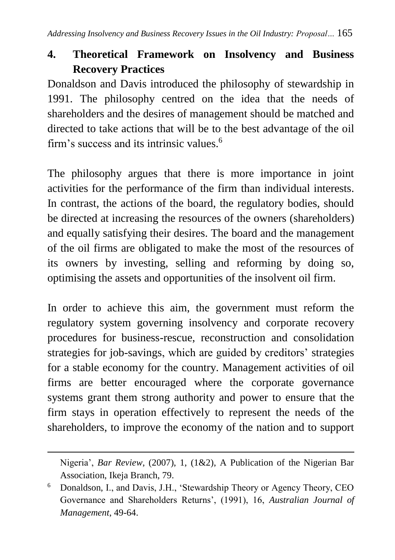# **4. Theoretical Framework on Insolvency and Business Recovery Practices**

Donaldson and Davis introduced the philosophy of stewardship in 1991. The philosophy centred on the idea that the needs of shareholders and the desires of management should be matched and directed to take actions that will be to the best advantage of the oil firm's success and its intrinsic values. 6

The philosophy argues that there is more importance in joint activities for the performance of the firm than individual interests. In contrast, the actions of the board, the regulatory bodies, should be directed at increasing the resources of the owners (shareholders) and equally satisfying their desires. The board and the management of the oil firms are obligated to make the most of the resources of its owners by investing, selling and reforming by doing so, optimising the assets and opportunities of the insolvent oil firm.

In order to achieve this aim, the government must reform the regulatory system governing insolvency and corporate recovery procedures for business-rescue, reconstruction and consolidation strategies for job-savings, which are guided by creditors' strategies for a stable economy for the country. Management activities of oil firms are better encouraged where the corporate governance systems grant them strong authority and power to ensure that the firm stays in operation effectively to represent the needs of the shareholders, to improve the economy of the nation and to support

 $\ddot{\phantom{a}}$ 

Nigeria', *Bar Review*, (2007), 1, (1&2), A Publication of the Nigerian Bar Association, Ikeja Branch, 79.

<sup>6</sup> Donaldson, I., and Davis, J.H., 'Stewardship Theory or Agency Theory, CEO Governance and Shareholders Returns', (1991), 16, *Australian Journal of Management*, 49-64.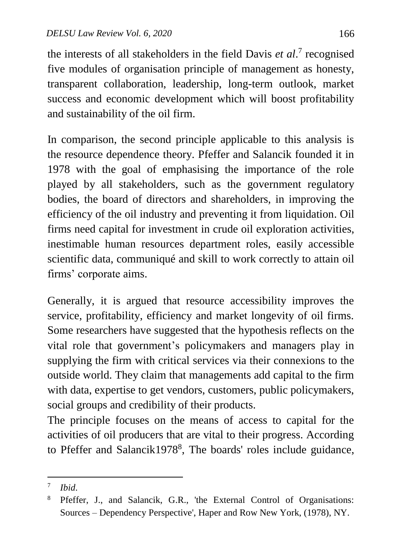the interests of all stakeholders in the field Davis *et al*. 7 recognised five modules of organisation principle of management as honesty, transparent collaboration, leadership, long-term outlook, market success and economic development which will boost profitability and sustainability of the oil firm.

In comparison, the second principle applicable to this analysis is the resource dependence theory. Pfeffer and Salancik founded it in 1978 with the goal of emphasising the importance of the role played by all stakeholders, such as the government regulatory bodies, the board of directors and shareholders, in improving the efficiency of the oil industry and preventing it from liquidation. Oil firms need capital for investment in crude oil exploration activities, inestimable human resources department roles, easily accessible scientific data, communiqué and skill to work correctly to attain oil firms' corporate aims.

Generally, it is argued that resource accessibility improves the service, profitability, efficiency and market longevity of oil firms. Some researchers have suggested that the hypothesis reflects on the vital role that government's policymakers and managers play in supplying the firm with critical services via their connexions to the outside world. They claim that managements add capital to the firm with data, expertise to get vendors, customers, public policymakers, social groups and credibility of their products.

The principle focuses on the means of access to capital for the activities of oil producers that are vital to their progress. According to Pfeffer and Salancik1978<sup>8</sup>, The boards' roles include guidance,

 $\overline{a}$ 7 *Ibid*.

<sup>8</sup> Pfeffer, J., and Salancik, G.R., 'the External Control of Organisations: Sources – Dependency Perspective', Haper and Row New York, (1978), NY.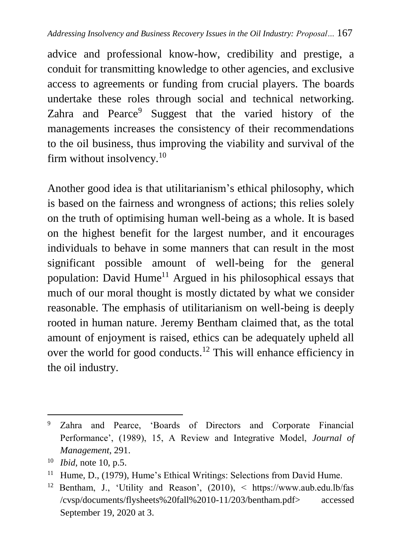advice and professional know-how, credibility and prestige, a conduit for transmitting knowledge to other agencies, and exclusive access to agreements or funding from crucial players. The boards undertake these roles through social and technical networking. Zahra and Pearce<sup>9</sup> Suggest that the varied history of the managements increases the consistency of their recommendations to the oil business, thus improving the viability and survival of the firm without insolvency. $10$ 

Another good idea is that utilitarianism's ethical philosophy, which is based on the fairness and wrongness of actions; this relies solely on the truth of optimising human well-being as a whole. It is based on the highest benefit for the largest number, and it encourages individuals to behave in some manners that can result in the most significant possible amount of well-being for the general population: David Hume<sup>11</sup> Argued in his philosophical essays that much of our moral thought is mostly dictated by what we consider reasonable. The emphasis of utilitarianism on well-being is deeply rooted in human nature. Jeremy Bentham claimed that, as the total amount of enjoyment is raised, ethics can be adequately upheld all over the world for good conducts.<sup>12</sup> This will enhance efficiency in the oil industry.

<sup>1</sup> <sup>9</sup> Zahra and Pearce, 'Boards of Directors and Corporate Financial Performance', (1989), 15, A Review and Integrative Model, *Journal of Management*, 291.

<sup>10</sup> *Ibid*, note 10, p.5.

<sup>&</sup>lt;sup>11</sup> Hume, D., (1979), Hume's Ethical Writings: Selections from David Hume.

<sup>12</sup> Bentham, J., 'Utility and Reason', (2010), < https://www.aub.edu.lb/fas /cvsp/documents/flysheets%20fall%2010-11/203/bentham.pdf> accessed September 19, 2020 at 3.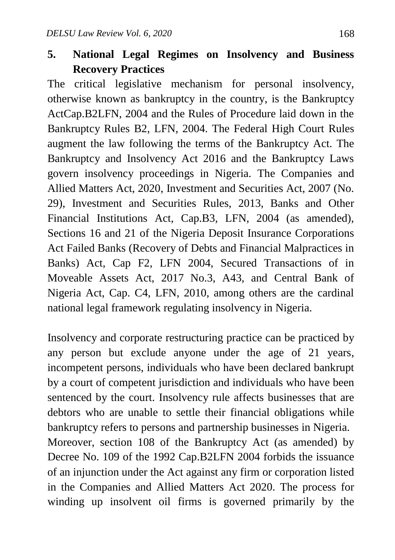#### **5. National Legal Regimes on Insolvency and Business Recovery Practices**

The critical legislative mechanism for personal insolvency, otherwise known as bankruptcy in the country, is the Bankruptcy ActCap.B2LFN, 2004 and the Rules of Procedure laid down in the Bankruptcy Rules B2, LFN, 2004. The Federal High Court Rules augment the law following the terms of the Bankruptcy Act. The Bankruptcy and Insolvency Act 2016 and the Bankruptcy Laws govern insolvency proceedings in Nigeria. The Companies and Allied Matters Act, 2020, Investment and Securities Act, 2007 (No. 29), Investment and Securities Rules, 2013, Banks and Other Financial Institutions Act, Cap.B3, LFN, 2004 (as amended), Sections 16 and 21 of the Nigeria Deposit Insurance Corporations Act Failed Banks (Recovery of Debts and Financial Malpractices in Banks) Act, Cap F2, LFN 2004, Secured Transactions of in Moveable Assets Act, 2017 No.3, A43, and Central Bank of Nigeria Act, Cap. C4, LFN, 2010, among others are the cardinal national legal framework regulating insolvency in Nigeria.

Insolvency and corporate restructuring practice can be practiced by any person but exclude anyone under the age of 21 years, incompetent persons, individuals who have been declared bankrupt by a court of competent jurisdiction and individuals who have been sentenced by the court. Insolvency rule affects businesses that are debtors who are unable to settle their financial obligations while bankruptcy refers to persons and partnership businesses in Nigeria. Moreover, section 108 of the Bankruptcy Act (as amended) by Decree No. 109 of the 1992 Cap.B2LFN 2004 forbids the issuance of an injunction under the Act against any firm or corporation listed in the Companies and Allied Matters Act 2020. The process for winding up insolvent oil firms is governed primarily by the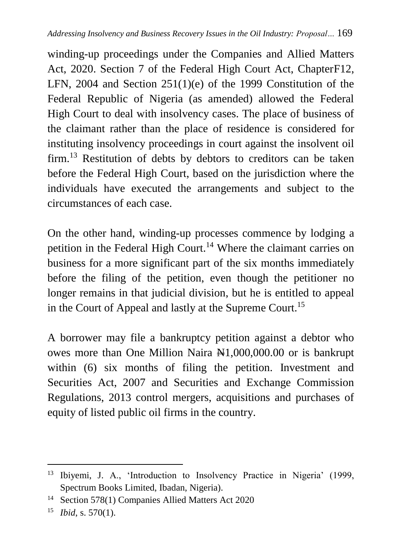winding-up proceedings under the Companies and Allied Matters Act, 2020. Section 7 of the Federal High Court Act, ChapterF12, LFN, 2004 and Section 251(1)(e) of the 1999 Constitution of the Federal Republic of Nigeria (as amended) allowed the Federal High Court to deal with insolvency cases. The place of business of the claimant rather than the place of residence is considered for instituting insolvency proceedings in court against the insolvent oil firm.<sup>13</sup> Restitution of debts by debtors to creditors can be taken before the Federal High Court, based on the jurisdiction where the individuals have executed the arrangements and subject to the circumstances of each case.

On the other hand, winding-up processes commence by lodging a petition in the Federal High Court.<sup>14</sup> Where the claimant carries on business for a more significant part of the six months immediately before the filing of the petition, even though the petitioner no longer remains in that judicial division, but he is entitled to appeal in the Court of Appeal and lastly at the Supreme Court.<sup>15</sup>

A borrower may file a bankruptcy petition against a debtor who owes more than One Million Naira N1,000,000.00 or is bankrupt within (6) six months of filing the petition. Investment and Securities Act, 2007 and Securities and Exchange Commission Regulations, 2013 control mergers, acquisitions and purchases of equity of listed public oil firms in the country.

 $\ddot{\phantom{a}}$ <sup>13</sup> Ibiyemi, J. A., 'Introduction to Insolvency Practice in Nigeria' (1999, Spectrum Books Limited, Ibadan, Nigeria).

<sup>14</sup> Section 578(1) Companies Allied Matters Act 2020

<sup>15</sup> *Ibid*, s. 570(1).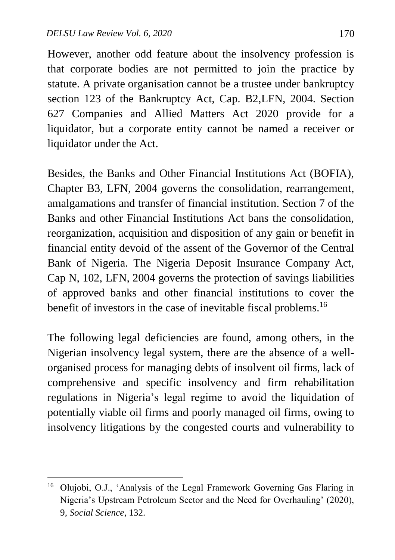$\overline{a}$ 

However, another odd feature about the insolvency profession is that corporate bodies are not permitted to join the practice by statute. A private organisation cannot be a trustee under bankruptcy section 123 of the Bankruptcy Act, Cap. B2,LFN, 2004. Section 627 Companies and Allied Matters Act 2020 provide for a liquidator, but a corporate entity cannot be named a receiver or liquidator under the Act.

Besides, the Banks and Other Financial Institutions Act (BOFIA), Chapter B3, LFN, 2004 governs the consolidation, rearrangement, amalgamations and transfer of financial institution. Section 7 of the Banks and other Financial Institutions Act bans the consolidation, reorganization, acquisition and disposition of any gain or benefit in financial entity devoid of the assent of the Governor of the Central Bank of Nigeria. The Nigeria Deposit Insurance Company Act, Cap N, 102, LFN, 2004 governs the protection of savings liabilities of approved banks and other financial institutions to cover the benefit of investors in the case of inevitable fiscal problems.<sup>16</sup>

The following legal deficiencies are found, among others, in the Nigerian insolvency legal system, there are the absence of a wellorganised process for managing debts of insolvent oil firms, lack of comprehensive and specific insolvency and firm rehabilitation regulations in Nigeria's legal regime to avoid the liquidation of potentially viable oil firms and poorly managed oil firms, owing to insolvency litigations by the congested courts and vulnerability to

<sup>16</sup> Olujobi, O.J., 'Analysis of the Legal Framework Governing Gas Flaring in Nigeria's Upstream Petroleum Sector and the Need for Overhauling' (2020), 9*, Social Science*, 132.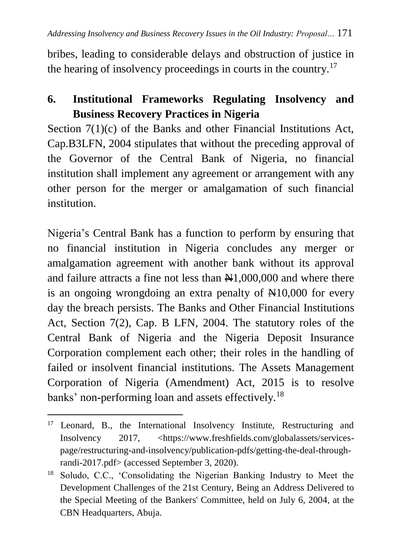bribes, leading to considerable delays and obstruction of justice in the hearing of insolvency proceedings in courts in the country.<sup>17</sup>

# **6. Institutional Frameworks Regulating Insolvency and Business Recovery Practices in Nigeria**

Section 7(1)(c) of the Banks and other Financial Institutions Act, Cap.B3LFN, 2004 stipulates that without the preceding approval of the Governor of the Central Bank of Nigeria, no financial institution shall implement any agreement or arrangement with any other person for the merger or amalgamation of such financial institution.

Nigeria's Central Bank has a function to perform by ensuring that no financial institution in Nigeria concludes any merger or amalgamation agreement with another bank without its approval and failure attracts a fine not less than  $\mathbb{N}1,000,000$  and where there is an ongoing wrongdoing an extra penalty of  $\mathbb{H}10,000$  for every day the breach persists. The Banks and Other Financial Institutions Act, Section 7(2), Cap. B LFN, 2004. The statutory roles of the Central Bank of Nigeria and the Nigeria Deposit Insurance Corporation complement each other; their roles in the handling of failed or insolvent financial institutions. The Assets Management Corporation of Nigeria (Amendment) Act, 2015 is to resolve banks' non-performing loan and assets effectively.<sup>18</sup>

1

<sup>&</sup>lt;sup>17</sup> Leonard, B., the International Insolvency Institute, Restructuring and Insolvency 2017, <https://www.freshfields.com/globalassets/servicespage/restructuring-and-insolvency/publication-pdfs/getting-the-deal-throughrandi-2017.pdf> (accessed September 3, 2020).

<sup>18</sup> Soludo, C.C., 'Consolidating the Nigerian Banking Industry to Meet the Development Challenges of the 21st Century, Being an Address Delivered to the Special Meeting of the Bankers' Committee, held on July 6, 2004, at the CBN Headquarters, Abuja.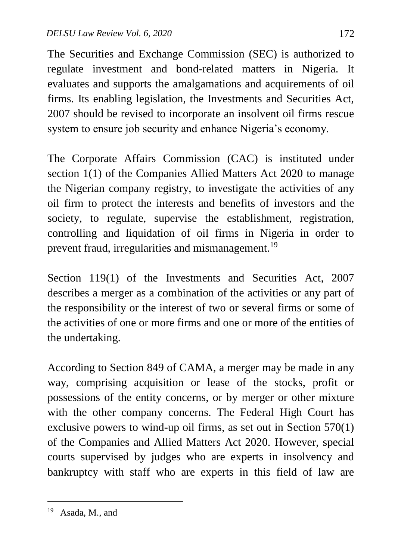The Securities and Exchange Commission (SEC) is authorized to regulate investment and bond**-**related matters in Nigeria. It evaluates and supports the amalgamations and acquirements of oil firms. Its enabling legislation, the Investments and Securities Act, 2007 should be revised to incorporate an insolvent oil firms rescue system to ensure job security and enhance Nigeria's economy.

The Corporate Affairs Commission (CAC) is instituted under section 1(1) of the Companies Allied Matters Act 2020 to manage the Nigerian company registry, to investigate the activities of any oil firm to protect the interests and benefits of investors and the society, to regulate, supervise the establishment, registration, controlling and liquidation of oil firms in Nigeria in order to prevent fraud, irregularities and mismanagement.<sup>19</sup>

Section 119(1) of the Investments and Securities Act, 2007 describes a merger as a combination of the activities or any part of the responsibility or the interest of two or several firms or some of the activities of one or more firms and one or more of the entities of the undertaking.

According to Section 849 of CAMA, a merger may be made in any way, comprising acquisition or lease of the stocks, profit or possessions of the entity concerns, or by merger or other mixture with the other company concerns. The Federal High Court has exclusive powers to wind-up oil firms, as set out in Section 570(1) of the Companies and Allied Matters Act 2020. However, special courts supervised by judges who are experts in insolvency and bankruptcy with staff who are experts in this field of law are

 $\ddot{\phantom{a}}$ 

<sup>19</sup> Asada, M., and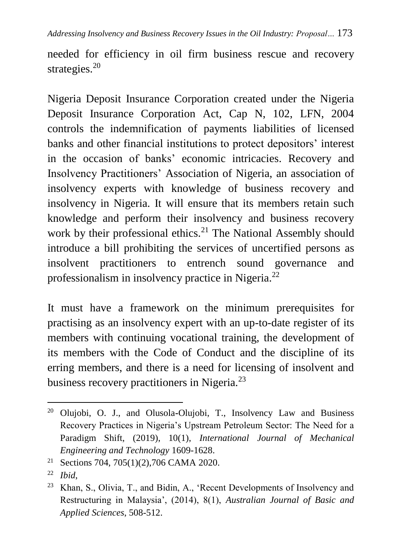*Addressing Insolvency and Business Recovery Issues in the Oil Industry: Proposal…* 173

needed for efficiency in oil firm business rescue and recovery strategies.<sup>20</sup>

Nigeria Deposit Insurance Corporation created under the Nigeria Deposit Insurance Corporation Act, Cap N, 102, LFN, 2004 controls the indemnification of payments liabilities of licensed banks and other financial institutions to protect depositors' interest in the occasion of banks' economic intricacies. Recovery and Insolvency Practitioners' Association of Nigeria, an association of insolvency experts with knowledge of business recovery and insolvency in Nigeria. It will ensure that its members retain such knowledge and perform their insolvency and business recovery work by their professional ethics.<sup>21</sup> The National Assembly should introduce a bill prohibiting the services of uncertified persons as insolvent practitioners to entrench sound governance and professionalism in insolvency practice in Nigeria.<sup>22</sup>

It must have a framework on the minimum prerequisites for practising as an insolvency expert with an up-to-date register of its members with continuing vocational training, the development of its members with the Code of Conduct and the discipline of its erring members, and there is a need for licensing of insolvent and business recovery practitioners in Nigeria.<sup>23</sup>

 $\ddot{\phantom{a}}$ 

<sup>20</sup> Olujobi, O. J., and Olusola**-**Olujobi, T., Insolvency Law and Business Recovery Practices in Nigeria's Upstream Petroleum Sector: The Need for a Paradigm Shift, (2019), 10(1), *International Journal of Mechanical Engineering and Technology* 1609-1628.

<sup>21</sup> Sections 704, 705(1)(2),706 CAMA 2020.

<sup>22</sup> *Ibid*,

<sup>23</sup> Khan, S., Olivia, T., and Bidin, A., 'Recent Developments of Insolvency and Restructuring in Malaysia', (2014), 8(1), *Australian Journal of Basic and Applied Sciences*, 508-512.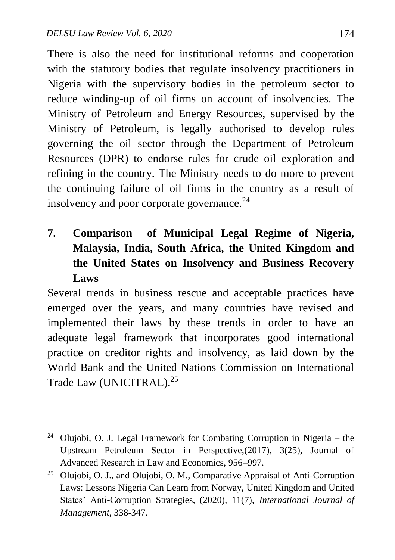$\overline{a}$ 

There is also the need for institutional reforms and cooperation with the statutory bodies that regulate insolvency practitioners in Nigeria with the supervisory bodies in the petroleum sector to reduce winding**-**up of oil firms on account of insolvencies. The Ministry of Petroleum and Energy Resources, supervised by the Ministry of Petroleum, is legally authorised to develop rules governing the oil sector through the Department of Petroleum Resources (DPR) to endorse rules for crude oil exploration and refining in the country. The Ministry needs to do more to prevent the continuing failure of oil firms in the country as a result of insolvency and poor corporate governance.<sup>24</sup>

**7. Comparison of Municipal Legal Regime of Nigeria, Malaysia, India, South Africa, the United Kingdom and the United States on Insolvency and Business Recovery Laws**

Several trends in business rescue and acceptable practices have emerged over the years, and many countries have revised and implemented their laws by these trends in order to have an adequate legal framework that incorporates good international practice on creditor rights and insolvency, as laid down by the World Bank and the United Nations Commission on International Trade Law (UNICITRAL).<sup>25</sup>

<sup>&</sup>lt;sup>24</sup> Olujobi, O. J. Legal Framework for Combating Corruption in Nigeria – the Upstream Petroleum Sector in Perspective,(2017), 3(25), Journal of Advanced Research in Law and Economics, 956–997.

<sup>25</sup> Olujobi, O. J., and Olujobi, O. M., Comparative Appraisal of Anti-Corruption Laws: Lessons Nigeria Can Learn from Norway, United Kingdom and United States' Anti**-**Corruption Strategies, (2020), 11(7), *International Journal of Management,* 338-347.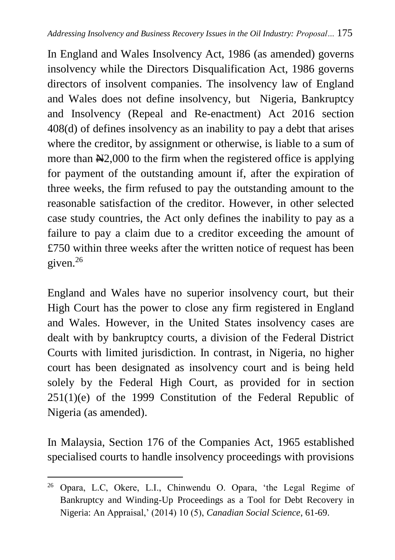In England and Wales Insolvency Act, 1986 (as amended) governs insolvency while the Directors Disqualification Act, 1986 governs directors of insolvent companies. The insolvency law of England and Wales does not define insolvency, but Nigeria, Bankruptcy and Insolvency (Repeal and Re-enactment) Act 2016 section 408(d) of defines insolvency as an inability to pay a debt that arises where the creditor, by assignment or otherwise, is liable to a sum of more than  $\frac{N}{2000}$  to the firm when the registered office is applying for payment of the outstanding amount if, after the expiration of three weeks, the firm refused to pay the outstanding amount to the reasonable satisfaction of the creditor. However, in other selected case study countries, the Act only defines the inability to pay as a failure to pay a claim due to a creditor exceeding the amount of £750 within three weeks after the written notice of request has been given.<sup>26</sup>

England and Wales have no superior insolvency court, but their High Court has the power to close any firm registered in England and Wales. However, in the United States insolvency cases are dealt with by bankruptcy courts, a division of the Federal District Courts with limited jurisdiction. In contrast, in Nigeria, no higher court has been designated as insolvency court and is being held solely by the Federal High Court, as provided for in section 251(1)(e) of the 1999 Constitution of the Federal Republic of Nigeria (as amended).

In Malaysia, Section 176 of the Companies Act, 1965 established specialised courts to handle insolvency proceedings with provisions

<sup>26</sup> Opara, L.C, Okere, L.I., Chinwendu O. Opara, 'the Legal Regime of Bankruptcy and Winding-Up Proceedings as a Tool for Debt Recovery in Nigeria: An Appraisal,' (2014) 10 (5), *Canadian Social Science*, 61-69.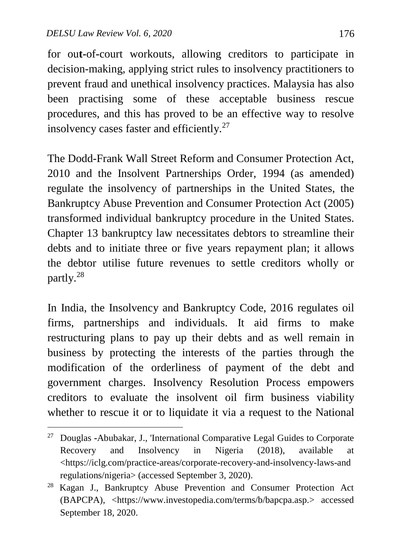$\overline{a}$ 

for ou**t-**of**-**court workouts, allowing creditors to participate in decision-making, applying strict rules to insolvency practitioners to prevent fraud and unethical insolvency practices. Malaysia has also been practising some of these acceptable business rescue procedures, and this has proved to be an effective way to resolve insolvency cases faster and efficiently.<sup>27</sup>

The Dodd-Frank Wall Street Reform and Consumer Protection Act, 2010 and the Insolvent Partnerships Order, 1994 (as amended) regulate the insolvency of partnerships in the United States, the Bankruptcy Abuse Prevention and Consumer Protection Act (2005) transformed individual bankruptcy procedure in the United States. Chapter 13 bankruptcy law necessitates debtors to streamline their debts and to initiate three or five years repayment plan; it allows the debtor utilise future revenues to settle creditors wholly or partly.<sup>28</sup>

In India, the Insolvency and Bankruptcy Code, 2016 regulates oil firms, partnerships and individuals. It aid firms to make restructuring plans to pay up their debts and as well remain in business by protecting the interests of the parties through the modification of the orderliness of payment of the debt and government charges. Insolvency Resolution Process empowers creditors to evaluate the insolvent oil firm business viability whether to rescue it or to liquidate it via a request to the National

<sup>27</sup> Douglas **-**Abubakar, J., 'International Comparative Legal Guides to Corporate Recovery and Insolvency in Nigeria (2018), available at <https://iclg.com/practice-areas/corporate-recovery-and-insolvency-laws-and regulations/nigeria> (accessed September 3, 2020).

<sup>28</sup> Kagan J., Bankruptcy Abuse Prevention and Consumer Protection Act (BAPCPA), <https://www.investopedia.com/terms/b/bapcpa.asp.> accessed September 18, 2020.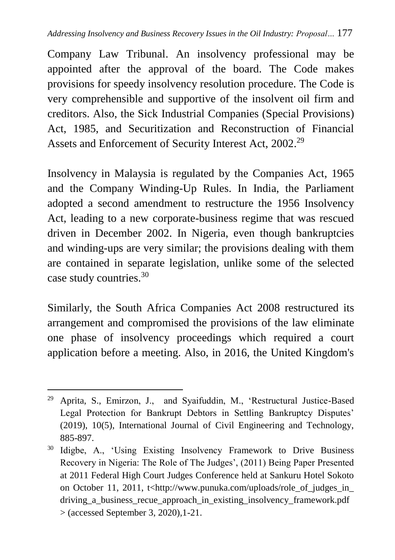Company Law Tribunal. An insolvency professional may be appointed after the approval of the board. The Code makes provisions for speedy insolvency resolution procedure. The Code is very comprehensible and supportive of the insolvent oil firm and creditors. Also, the Sick Industrial Companies (Special Provisions) Act, 1985, and Securitization and Reconstruction of Financial Assets and Enforcement of Security Interest Act, 2002.<sup>29</sup>

Insolvency in Malaysia is regulated by the Companies Act, 1965 and the Company Winding-Up Rules. In India, the Parliament adopted a second amendment to restructure the 1956 Insolvency Act, leading to a new corporate-business regime that was rescued driven in December 2002. In Nigeria, even though bankruptcies and winding-ups are very similar; the provisions dealing with them are contained in separate legislation, unlike some of the selected case study countries.<sup>30</sup>

Similarly, the South Africa Companies Act 2008 restructured its arrangement and compromised the provisions of the law eliminate one phase of insolvency proceedings which required a court application before a meeting. Also, in 2016, the United Kingdom's

 $\overline{a}$ <sup>29</sup> Aprita, S., Emirzon, J., and Syaifuddin, M., 'Restructural Justice-Based Legal Protection for Bankrupt Debtors in Settling Bankruptcy Disputes' (2019), 10(5), International Journal of Civil Engineering and Technology, 885-897.

<sup>&</sup>lt;sup>30</sup> Idigbe, A., 'Using Existing Insolvency Framework to Drive Business Recovery in Nigeria: The Role of The Judges', (2011) Being Paper Presented at 2011 Federal High Court Judges Conference held at Sankuru Hotel Sokoto on October 11, 2011, t<http://www.punuka.com/uploads/role\_of\_judges\_in\_ driving a business recue approach in existing insolvency framework.pdf > (accessed September 3, 2020),1-21.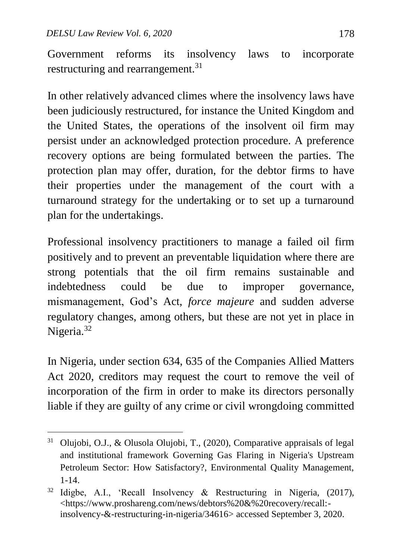1

Government reforms its insolvency laws to incorporate restructuring and rearrangement.<sup>31</sup>

In other relatively advanced climes where the insolvency laws have been judiciously restructured, for instance the United Kingdom and the United States, the operations of the insolvent oil firm may persist under an acknowledged protection procedure. A preference recovery options are being formulated between the parties. The protection plan may offer, duration, for the debtor firms to have their properties under the management of the court with a turnaround strategy for the undertaking or to set up a turnaround plan for the undertakings.

Professional insolvency practitioners to manage a failed oil firm positively and to prevent an preventable liquidation where there are strong potentials that the oil firm remains sustainable and indebtedness could be due to improper governance, mismanagement, God's Act, *force majeure* and sudden adverse regulatory changes, among others, but these are not yet in place in Nigeria.<sup>32</sup>

In Nigeria, under section 634, 635 of the Companies Allied Matters Act 2020, creditors may request the court to remove the veil of incorporation of the firm in order to make its directors personally liable if they are guilty of any crime or civil wrongdoing committed

<sup>31</sup> Olujobi, O.J., & Olusola Olujobi, T., (2020), Comparative appraisals of legal and institutional framework Governing Gas Flaring in Nigeria's Upstream Petroleum Sector: How Satisfactory?, Environmental Quality Management, 1-14.

<sup>32</sup> Idigbe, A.I., 'Recall Insolvency & Restructuring in Nigeria, (2017), <https://www.proshareng.com/news/debtors%20&%20recovery/recall: insolvency-&-restructuring-in-nigeria/34616> accessed September 3, 2020.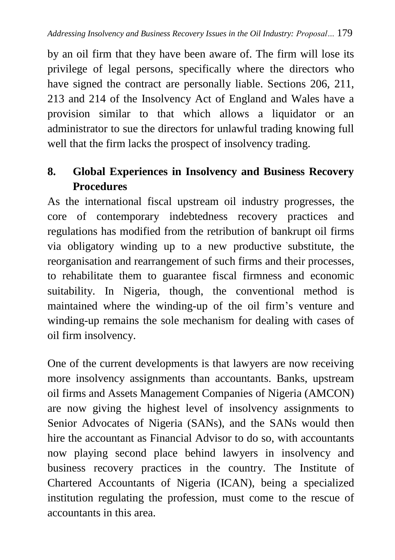by an oil firm that they have been aware of. The firm will lose its privilege of legal persons, specifically where the directors who have signed the contract are personally liable. Sections 206, 211, 213 and 214 of the Insolvency Act of England and Wales have a provision similar to that which allows a liquidator or an administrator to sue the directors for unlawful trading knowing full well that the firm lacks the prospect of insolvency trading.

# **8. Global Experiences in Insolvency and Business Recovery Procedures**

As the international fiscal upstream oil industry progresses, the core of contemporary indebtedness recovery practices and regulations has modified from the retribution of bankrupt oil firms via obligatory winding up to a new productive substitute, the reorganisation and rearrangement of such firms and their processes, to rehabilitate them to guarantee fiscal firmness and economic suitability. In Nigeria, though, the conventional method is maintained where the winding-up of the oil firm's venture and winding-up remains the sole mechanism for dealing with cases of oil firm insolvency.

One of the current developments is that lawyers are now receiving more insolvency assignments than accountants. Banks, upstream oil firms and Assets Management Companies of Nigeria (AMCON) are now giving the highest level of insolvency assignments to Senior Advocates of Nigeria (SANs), and the SANs would then hire the accountant as Financial Advisor to do so, with accountants now playing second place behind lawyers in insolvency and business recovery practices in the country. The Institute of Chartered Accountants of Nigeria (ICAN), being a specialized institution regulating the profession, must come to the rescue of accountants in this area.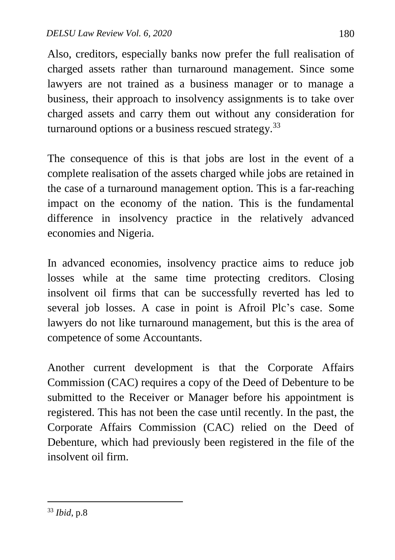Also, creditors, especially banks now prefer the full realisation of charged assets rather than turnaround management. Since some lawyers are not trained as a business manager or to manage a business, their approach to insolvency assignments is to take over charged assets and carry them out without any consideration for turnaround options or a business rescued strategy.  $33$ 

The consequence of this is that jobs are lost in the event of a complete realisation of the assets charged while jobs are retained in the case of a turnaround management option. This is a far-reaching impact on the economy of the nation. This is the fundamental difference in insolvency practice in the relatively advanced economies and Nigeria.

In advanced economies, insolvency practice aims to reduce job losses while at the same time protecting creditors. Closing insolvent oil firms that can be successfully reverted has led to several job losses. A case in point is Afroil Plc's case. Some lawyers do not like turnaround management, but this is the area of competence of some Accountants.

Another current development is that the Corporate Affairs Commission (CAC) requires a copy of the Deed of Debenture to be submitted to the Receiver or Manager before his appointment is registered. This has not been the case until recently. In the past, the Corporate Affairs Commission (CAC) relied on the Deed of Debenture, which had previously been registered in the file of the insolvent oil firm.

<sup>33</sup> *Ibid*, p.8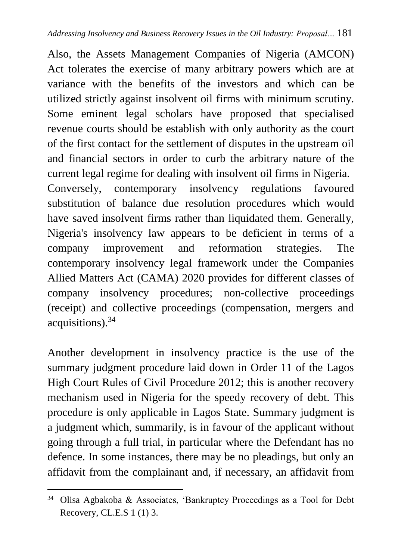Also, the Assets Management Companies of Nigeria (AMCON) Act tolerates the exercise of many arbitrary powers which are at variance with the benefits of the investors and which can be utilized strictly against insolvent oil firms with minimum scrutiny. Some eminent legal scholars have proposed that specialised revenue courts should be establish with only authority as the court of the first contact for the settlement of disputes in the upstream oil and financial sectors in order to curb the arbitrary nature of the current legal regime for dealing with insolvent oil firms in Nigeria. Conversely, contemporary insolvency regulations favoured substitution of balance due resolution procedures which would have saved insolvent firms rather than liquidated them. Generally, Nigeria's insolvency law appears to be deficient in terms of a company improvement and reformation strategies. The contemporary insolvency legal framework under the Companies Allied Matters Act (CAMA) 2020 provides for different classes of company insolvency procedures; non**-**collective proceedings (receipt) and collective proceedings (compensation, mergers and acquisitions).<sup>34</sup>

Another development in insolvency practice is the use of the summary judgment procedure laid down in Order 11 of the Lagos High Court Rules of Civil Procedure 2012; this is another recovery mechanism used in Nigeria for the speedy recovery of debt. This procedure is only applicable in Lagos State. Summary judgment is a judgment which, summarily, is in favour of the applicant without going through a full trial, in particular where the Defendant has no defence. In some instances, there may be no pleadings, but only an affidavit from the complainant and, if necessary, an affidavit from

<sup>34</sup> Olisa Agbakoba & Associates, 'Bankruptcy Proceedings as a Tool for Debt Recovery, CL.E.S 1 (1) 3.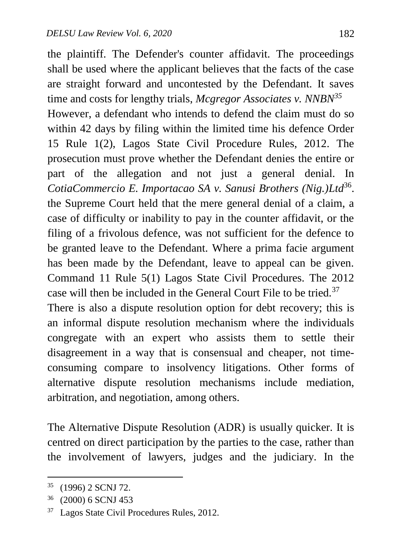the plaintiff. The Defender's counter affidavit. The proceedings shall be used where the applicant believes that the facts of the case are straight forward and uncontested by the Defendant. It saves time and costs for lengthy trials, *Mcgregor Associates v. NNBN<sup>35</sup>* However, a defendant who intends to defend the claim must do so within 42 days by filing within the limited time his defence Order 15 Rule 1(2), Lagos State Civil Procedure Rules, 2012. The prosecution must prove whether the Defendant denies the entire or part of the allegation and not just a general denial. In CotiaCommercio E. Importacao SA v. Sanusi Brothers (Nig.)Ltd<sup>36</sup>. the Supreme Court held that the mere general denial of a claim, a case of difficulty or inability to pay in the counter affidavit, or the filing of a frivolous defence, was not sufficient for the defence to be granted leave to the Defendant. Where a prima facie argument has been made by the Defendant, leave to appeal can be given. Command 11 Rule 5(1) Lagos State Civil Procedures. The 2012 case will then be included in the General Court File to be tried.<sup>37</sup>

There is also a dispute resolution option for debt recovery; this is an informal dispute resolution mechanism where the individuals congregate with an expert who assists them to settle their disagreement in a way that is consensual and cheaper, not timeconsuming compare to insolvency litigations. Other forms of alternative dispute resolution mechanisms include mediation, arbitration, and negotiation, among others.

The Alternative Dispute Resolution (ADR) is usually quicker. It is centred on direct participation by the parties to the case, rather than the involvement of lawyers, judges and the judiciary. In the

<sup>35</sup> (1996) 2 SCNJ 72.

<sup>36</sup> (2000) 6 SCNJ 453

<sup>37</sup> Lagos State Civil Procedures Rules, 2012.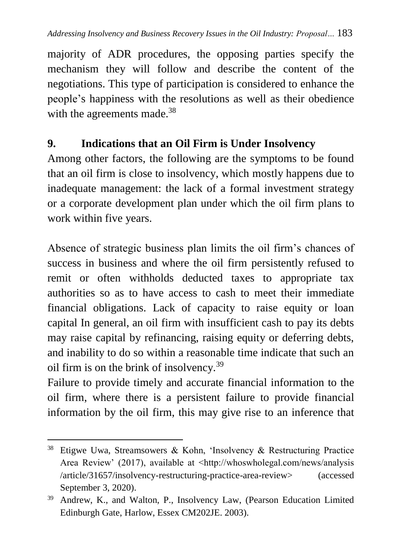majority of ADR procedures, the opposing parties specify the mechanism they will follow and describe the content of the negotiations. This type of participation is considered to enhance the people's happiness with the resolutions as well as their obedience with the agreements made.<sup>38</sup>

## **9. Indications that an Oil Firm is Under Insolvency**

Among other factors, the following are the symptoms to be found that an oil firm is close to insolvency, which mostly happens due to inadequate management: the lack of a formal investment strategy or a corporate development plan under which the oil firm plans to work within five years.

Absence of strategic business plan limits the oil firm's chances of success in business and where the oil firm persistently refused to remit or often withholds deducted taxes to appropriate tax authorities so as to have access to cash to meet their immediate financial obligations. Lack of capacity to raise equity or loan capital In general, an oil firm with insufficient cash to pay its debts may raise capital by refinancing, raising equity or deferring debts, and inability to do so within a reasonable time indicate that such an oil firm is on the brink of insolvency.<sup>39</sup>

Failure to provide timely and accurate financial information to the oil firm, where there is a persistent failure to provide financial information by the oil firm, this may give rise to an inference that

 $\overline{a}$ <sup>38</sup> Etigwe Uwa, Streamsowers & Kohn, 'Insolvency & Restructuring Practice Area Review' (2017), available at <http://whoswholegal.com/news/analysis /article/31657/insolvency-restructuring-practice-area-review> (accessed September 3, 2020).

<sup>&</sup>lt;sup>39</sup> Andrew, K., and Walton, P., Insolvency Law, (Pearson Education Limited Edinburgh Gate, Harlow, Essex CM202JE. 2003).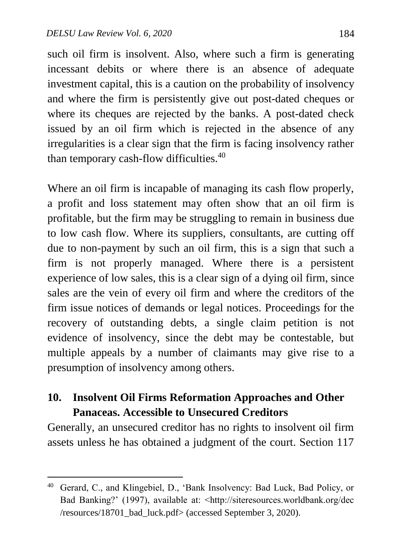$\overline{a}$ 

such oil firm is insolvent. Also, where such a firm is generating incessant debits or where there is an absence of adequate investment capital, this is a caution on the probability of insolvency and where the firm is persistently give out post-dated cheques or where its cheques are rejected by the banks. A post-dated check issued by an oil firm which is rejected in the absence of any irregularities is a clear sign that the firm is facing insolvency rather than temporary cash-flow difficulties.<sup>40</sup>

Where an oil firm is incapable of managing its cash flow properly, a profit and loss statement may often show that an oil firm is profitable, but the firm may be struggling to remain in business due to low cash flow. Where its suppliers, consultants, are cutting off due to non-payment by such an oil firm, this is a sign that such a firm is not properly managed. Where there is a persistent experience of low sales, this is a clear sign of a dying oil firm, since sales are the vein of every oil firm and where the creditors of the firm issue notices of demands or legal notices. Proceedings for the recovery of outstanding debts, a single claim petition is not evidence of insolvency, since the debt may be contestable, but multiple appeals by a number of claimants may give rise to a presumption of insolvency among others.

### **10. Insolvent Oil Firms Reformation Approaches and Other Panaceas. Accessible to Unsecured Creditors**

Generally, an unsecured creditor has no rights to insolvent oil firm assets unless he has obtained a judgment of the court. Section 117

<sup>40</sup> Gerard, C., and Klingebiel, D., 'Bank Insolvency: Bad Luck, Bad Policy, or Bad Banking?' (1997), available at: <http://siteresources.worldbank.org/dec /resources/18701\_bad\_luck.pdf> (accessed September 3, 2020).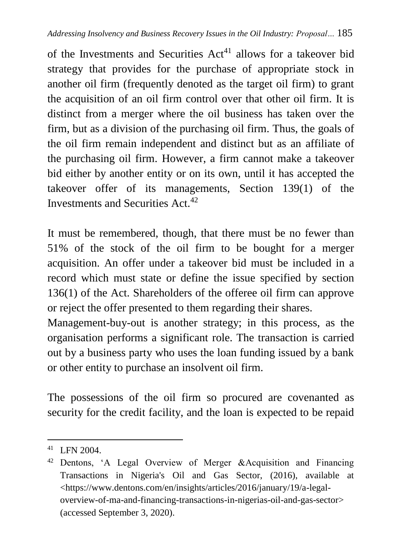of the Investments and Securities  $Act^{41}$  allows for a takeover bid strategy that provides for the purchase of appropriate stock in another oil firm (frequently denoted as the target oil firm) to grant the acquisition of an oil firm control over that other oil firm. It is distinct from a merger where the oil business has taken over the firm, but as a division of the purchasing oil firm. Thus, the goals of the oil firm remain independent and distinct but as an affiliate of the purchasing oil firm. However, a firm cannot make a takeover bid either by another entity or on its own, until it has accepted the takeover offer of its managements, Section 139(1) of the Investments and Securities Act.<sup>42</sup>

It must be remembered, though, that there must be no fewer than 51% of the stock of the oil firm to be bought for a merger acquisition. An offer under a takeover bid must be included in a record which must state or define the issue specified by section 136(1) of the Act. Shareholders of the offeree oil firm can approve or reject the offer presented to them regarding their shares.

Management-buy-out is another strategy; in this process, as the organisation performs a significant role. The transaction is carried out by a business party who uses the loan funding issued by a bank or other entity to purchase an insolvent oil firm.

The possessions of the oil firm so procured are covenanted as security for the credit facility, and the loan is expected to be repaid

<sup>41</sup> LFN 2004.

<sup>42</sup> Dentons, 'A Legal Overview of Merger &Acquisition and Financing Transactions in Nigeria's Oil and Gas Sector, (2016), available at <https://www.dentons.com/en/insights/articles/2016/january/19/a-legaloverview-of-ma-and-financing-transactions-in-nigerias-oil-and-gas-sector> (accessed September 3, 2020).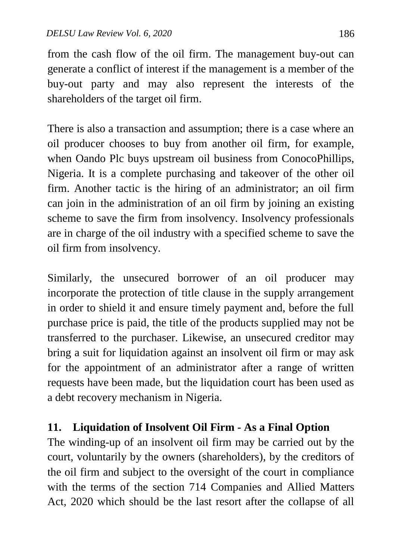from the cash flow of the oil firm. The management buy-out can generate a conflict of interest if the management is a member of the buy-out party and may also represent the interests of the shareholders of the target oil firm.

There is also a transaction and assumption; there is a case where an oil producer chooses to buy from another oil firm, for example, when Oando Plc buys upstream oil business from ConocoPhillips, Nigeria. It is a complete purchasing and takeover of the other oil firm. Another tactic is the hiring of an administrator; an oil firm can join in the administration of an oil firm by joining an existing scheme to save the firm from insolvency. Insolvency professionals are in charge of the oil industry with a specified scheme to save the oil firm from insolvency.

Similarly, the unsecured borrower of an oil producer may incorporate the protection of title clause in the supply arrangement in order to shield it and ensure timely payment and, before the full purchase price is paid, the title of the products supplied may not be transferred to the purchaser. Likewise, an unsecured creditor may bring a suit for liquidation against an insolvent oil firm or may ask for the appointment of an administrator after a range of written requests have been made, but the liquidation court has been used as a debt recovery mechanism in Nigeria.

### **11. Liquidation of Insolvent Oil Firm - As a Final Option**

The winding-up of an insolvent oil firm may be carried out by the court, voluntarily by the owners (shareholders), by the creditors of the oil firm and subject to the oversight of the court in compliance with the terms of the section 714 Companies and Allied Matters Act, 2020 which should be the last resort after the collapse of all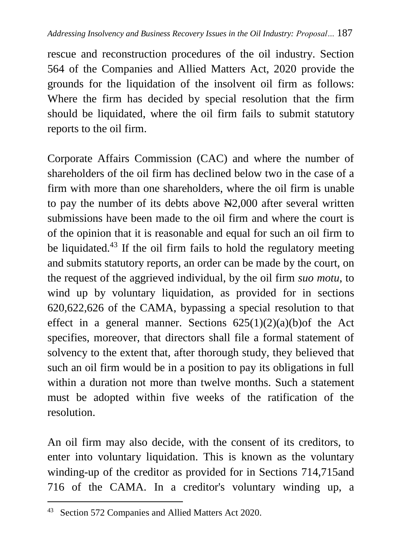rescue and reconstruction procedures of the oil industry. Section 564 of the Companies and Allied Matters Act, 2020 provide the grounds for the liquidation of the insolvent oil firm as follows: Where the firm has decided by special resolution that the firm should be liquidated, where the oil firm fails to submit statutory reports to the oil firm.

Corporate Affairs Commission (CAC) and where the number of shareholders of the oil firm has declined below two in the case of a firm with more than one shareholders, where the oil firm is unable to pay the number of its debts above  $\mathbb{H}2,000$  after several written submissions have been made to the oil firm and where the court is of the opinion that it is reasonable and equal for such an oil firm to be liquidated.<sup>43</sup> If the oil firm fails to hold the regulatory meeting and submits statutory reports, an order can be made by the court, on the request of the aggrieved individual, by the oil firm *suo motu*, to wind up by voluntary liquidation, as provided for in sections 620,622,626 of the CAMA, bypassing a special resolution to that effect in a general manner. Sections  $625(1)(2)(a)(b)$  of the Act specifies, moreover, that directors shall file a formal statement of solvency to the extent that, after thorough study, they believed that such an oil firm would be in a position to pay its obligations in full within a duration not more than twelve months. Such a statement must be adopted within five weeks of the ratification of the resolution.

An oil firm may also decide, with the consent of its creditors, to enter into voluntary liquidation. This is known as the voluntary winding-up of the creditor as provided for in Sections 714,715and 716 of the CAMA. In a creditor's voluntary winding up, a

<sup>&</sup>lt;sup>43</sup> Section 572 Companies and Allied Matters Act 2020.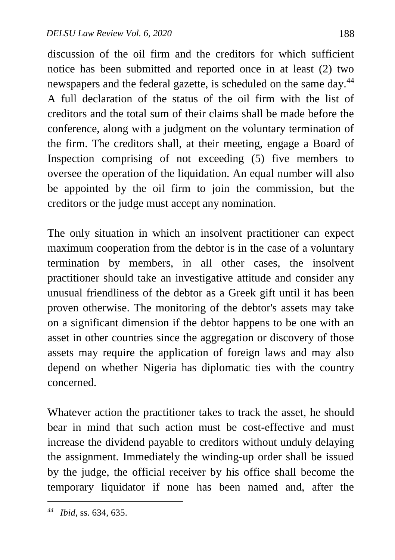discussion of the oil firm and the creditors for which sufficient notice has been submitted and reported once in at least (2) two newspapers and the federal gazette, is scheduled on the same day.<sup>44</sup> A full declaration of the status of the oil firm with the list of creditors and the total sum of their claims shall be made before the conference, along with a judgment on the voluntary termination of the firm. The creditors shall, at their meeting, engage a Board of Inspection comprising of not exceeding (5) five members to oversee the operation of the liquidation. An equal number will also be appointed by the oil firm to join the commission, but the creditors or the judge must accept any nomination.

The only situation in which an insolvent practitioner can expect maximum cooperation from the debtor is in the case of a voluntary termination by members, in all other cases, the insolvent practitioner should take an investigative attitude and consider any unusual friendliness of the debtor as a Greek gift until it has been proven otherwise. The monitoring of the debtor's assets may take on a significant dimension if the debtor happens to be one with an asset in other countries since the aggregation or discovery of those assets may require the application of foreign laws and may also depend on whether Nigeria has diplomatic ties with the country concerned.

Whatever action the practitioner takes to track the asset, he should bear in mind that such action must be cost-effective and must increase the dividend payable to creditors without unduly delaying the assignment. Immediately the winding-up order shall be issued by the judge, the official receiver by his office shall become the temporary liquidator if none has been named and, after the

*<sup>44</sup> Ibid*, ss. 634, 635.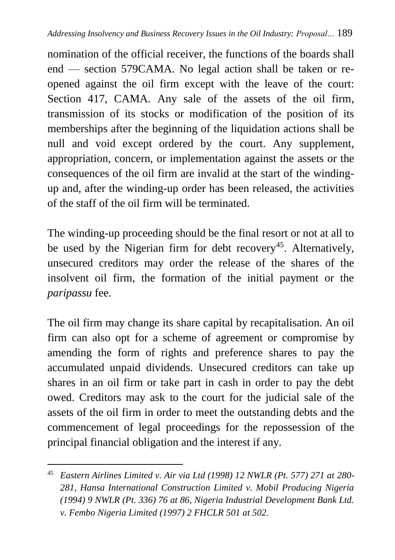nomination of the official receiver, the functions of the boards shall end — section 579CAMA. No legal action shall be taken or reopened against the oil firm except with the leave of the court: Section 417, CAMA. Any sale of the assets of the oil firm, transmission of its stocks or modification of the position of its memberships after the beginning of the liquidation actions shall be null and void except ordered by the court. Any supplement, appropriation, concern, or implementation against the assets or the consequences of the oil firm are invalid at the start of the windingup and, after the winding-up order has been released, the activities of the staff of the oil firm will be terminated.

The winding-up proceeding should be the final resort or not at all to be used by the Nigerian firm for debt recovery<sup>45</sup>. Alternatively, unsecured creditors may order the release of the shares of the insolvent oil firm, the formation of the initial payment or the *paripassu* fee.

The oil firm may change its share capital by recapitalisation. An oil firm can also opt for a scheme of agreement or compromise by amending the form of rights and preference shares to pay the accumulated unpaid dividends. Unsecured creditors can take up shares in an oil firm or take part in cash in order to pay the debt owed. Creditors may ask to the court for the judicial sale of the assets of the oil firm in order to meet the outstanding debts and the commencement of legal proceedings for the repossession of the principal financial obligation and the interest if any.

<sup>45</sup> *Eastern Airlines Limited v. Air via Ltd (1998) 12 NWLR (Pt. 577) 271 at 280- 281, Hansa International Construction Limited v. Mobil Producing Nigeria (1994) 9 NWLR (Pt. 336) 76 at 86, Nigeria Industrial Development Bank Ltd. v. Fembo Nigeria Limited (1997) 2 FHCLR 501 at 502.*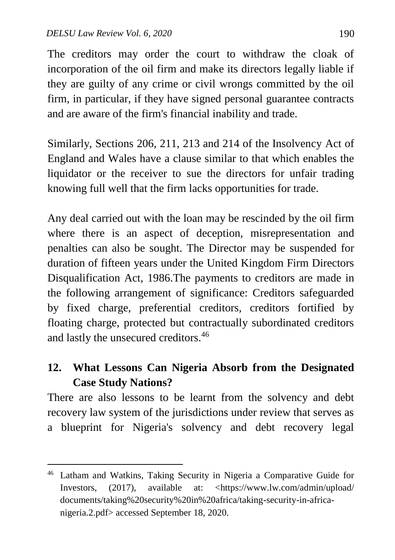$\overline{a}$ 

The creditors may order the court to withdraw the cloak of incorporation of the oil firm and make its directors legally liable if they are guilty of any crime or civil wrongs committed by the oil firm, in particular, if they have signed personal guarantee contracts and are aware of the firm's financial inability and trade.

Similarly, Sections 206, 211, 213 and 214 of the Insolvency Act of England and Wales have a clause similar to that which enables the liquidator or the receiver to sue the directors for unfair trading knowing full well that the firm lacks opportunities for trade.

Any deal carried out with the loan may be rescinded by the oil firm where there is an aspect of deception, misrepresentation and penalties can also be sought. The Director may be suspended for duration of fifteen years under the United Kingdom Firm Directors Disqualification Act, 1986.The payments to creditors are made in the following arrangement of significance: Creditors safeguarded by fixed charge, preferential creditors, creditors fortified by floating charge, protected but contractually subordinated creditors and lastly the unsecured creditors.<sup>46</sup>

# **12. What Lessons Can Nigeria Absorb from the Designated Case Study Nations?**

There are also lessons to be learnt from the solvency and debt recovery law system of the jurisdictions under review that serves as a blueprint for Nigeria's solvency and debt recovery legal

<sup>46</sup> Latham and Watkins, Taking Security in Nigeria a Comparative Guide for Investors, (2017), available at: [<https://www.lw.com/admin/upload/](https://www.lw.com/admin/Upload/Documents/Taking%20Security%20In%20Africa/Taking-Security-In-Africa-Nigeria.2.pdf) [documents/taking%20security%20in%20africa/taking-security-in-africa](https://www.lw.com/admin/Upload/Documents/Taking%20Security%20In%20Africa/Taking-Security-In-Africa-Nigeria.2.pdf)[nigeria.2.pdf>](https://www.lw.com/admin/Upload/Documents/Taking%20Security%20In%20Africa/Taking-Security-In-Africa-Nigeria.2.pdf) accessed September 18, 2020.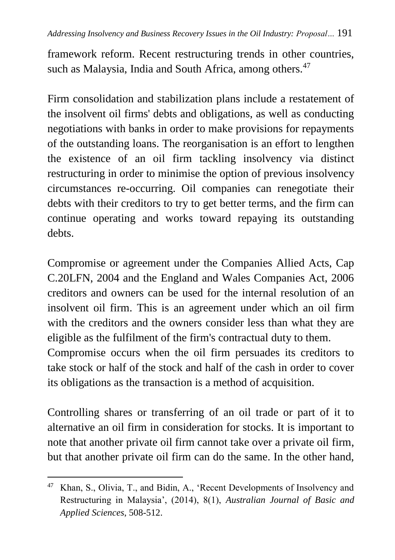framework reform. Recent restructuring trends in other countries, such as Malaysia, India and South Africa, among others.<sup>47</sup>

Firm consolidation and stabilization plans include a restatement of the insolvent oil firms' debts and obligations, as well as conducting negotiations with banks in order to make provisions for repayments of the outstanding loans. The reorganisation is an effort to lengthen the existence of an oil firm tackling insolvency via distinct restructuring in order to minimise the option of previous insolvency circumstances re-occurring. Oil companies can renegotiate their debts with their creditors to try to get better terms, and the firm can continue operating and works toward repaying its outstanding debts.

Compromise or agreement under the Companies Allied Acts, Cap C.20LFN, 2004 and the England and Wales Companies Act, 2006 creditors and owners can be used for the internal resolution of an insolvent oil firm. This is an agreement under which an oil firm with the creditors and the owners consider less than what they are eligible as the fulfilment of the firm's contractual duty to them. Compromise occurs when the oil firm persuades its creditors to

take stock or half of the stock and half of the cash in order to cover its obligations as the transaction is a method of acquisition.

Controlling shares or transferring of an oil trade or part of it to alternative an oil firm in consideration for stocks. It is important to note that another private oil firm cannot take over a private oil firm, but that another private oil firm can do the same. In the other hand,

<sup>47</sup> Khan, S., Olivia, T., and Bidin, A., 'Recent Developments of Insolvency and Restructuring in Malaysia', (2014), 8(1), *Australian Journal of Basic and Applied Sciences*, 508-512.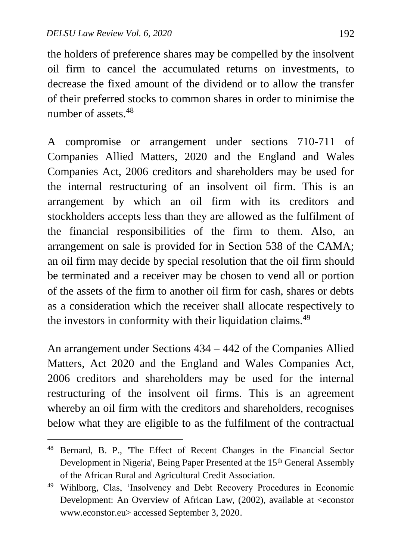$\overline{a}$ 

the holders of preference shares may be compelled by the insolvent oil firm to cancel the accumulated returns on investments, to decrease the fixed amount of the dividend or to allow the transfer of their preferred stocks to common shares in order to minimise the number of assets  $48$ 

A compromise or arrangement under sections 710-711 of Companies Allied Matters, 2020 and the England and Wales Companies Act, 2006 creditors and shareholders may be used for the internal restructuring of an insolvent oil firm. This is an arrangement by which an oil firm with its creditors and stockholders accepts less than they are allowed as the fulfilment of the financial responsibilities of the firm to them. Also, an arrangement on sale is provided for in Section 538 of the CAMA; an oil firm may decide by special resolution that the oil firm should be terminated and a receiver may be chosen to vend all or portion of the assets of the firm to another oil firm for cash, shares or debts as a consideration which the receiver shall allocate respectively to the investors in conformity with their liquidation claims.<sup>49</sup>

An arrangement under Sections 434 – 442 of the Companies Allied Matters, Act 2020 and the England and Wales Companies Act, 2006 creditors and shareholders may be used for the internal restructuring of the insolvent oil firms. This is an agreement whereby an oil firm with the creditors and shareholders, recognises below what they are eligible to as the fulfilment of the contractual

<sup>48</sup> Bernard, B. P., 'The Effect of Recent Changes in the Financial Sector Development in Nigeria', Being Paper Presented at the 15<sup>th</sup> General Assembly of the African Rural and Agricultural Credit Association.

<sup>49</sup> Wihlborg, Clas, 'Insolvency and Debt Recovery Procedures in Economic Development: An Overview of African Law, (2002), available at <econstor www.econstor.eu> accessed September 3, 2020.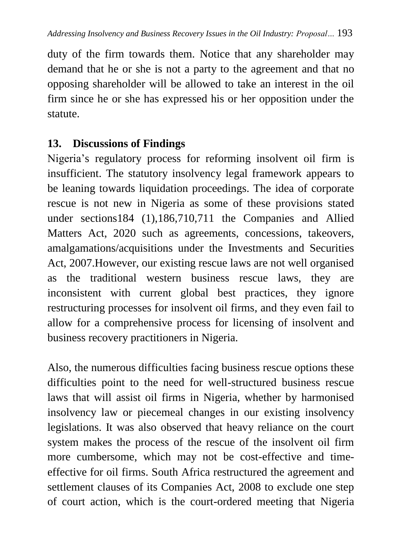duty of the firm towards them. Notice that any shareholder may demand that he or she is not a party to the agreement and that no opposing shareholder will be allowed to take an interest in the oil firm since he or she has expressed his or her opposition under the statute.

#### **13. Discussions of Findings**

Nigeria's regulatory process for reforming insolvent oil firm is insufficient. The statutory insolvency legal framework appears to be leaning towards liquidation proceedings. The idea of corporate rescue is not new in Nigeria as some of these provisions stated under sections184 (1),186,710,711 the Companies and Allied Matters Act, 2020 such as agreements, concessions, takeovers, amalgamations/acquisitions under the Investments and Securities Act, 2007.However, our existing rescue laws are not well organised as the traditional western business rescue laws, they are inconsistent with current global best practices, they ignore restructuring processes for insolvent oil firms, and they even fail to allow for a comprehensive process for licensing of insolvent and business recovery practitioners in Nigeria.

Also, the numerous difficulties facing business rescue options these difficulties point to the need for well-structured business rescue laws that will assist oil firms in Nigeria, whether by harmonised insolvency law or piecemeal changes in our existing insolvency legislations. It was also observed that heavy reliance on the court system makes the process of the rescue of the insolvent oil firm more cumbersome, which may not be cost-effective and timeeffective for oil firms. South Africa restructured the agreement and settlement clauses of its Companies Act, 2008 to exclude one step of court action, which is the court-ordered meeting that Nigeria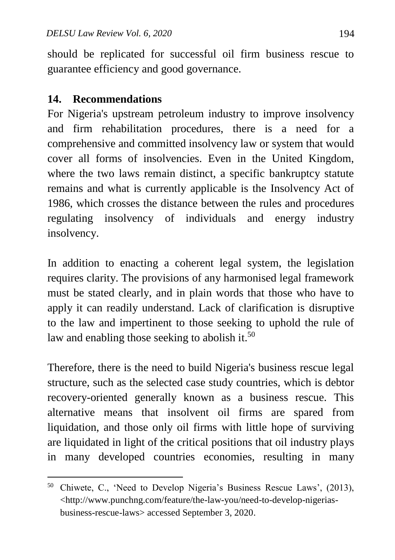should be replicated for successful oil firm business rescue to guarantee efficiency and good governance.

#### **14. Recommendations**

 $\overline{a}$ 

For Nigeria's upstream petroleum industry to improve insolvency and firm rehabilitation procedures, there is a need for a comprehensive and committed insolvency law or system that would cover all forms of insolvencies. Even in the United Kingdom, where the two laws remain distinct, a specific bankruptcy statute remains and what is currently applicable is the Insolvency Act of 1986, which crosses the distance between the rules and procedures regulating insolvency of individuals and energy industry insolvency.

In addition to enacting a coherent legal system, the legislation requires clarity. The provisions of any harmonised legal framework must be stated clearly, and in plain words that those who have to apply it can readily understand. Lack of clarification is disruptive to the law and impertinent to those seeking to uphold the rule of law and enabling those seeking to abolish it.<sup>50</sup>

Therefore, there is the need to build Nigeria's business rescue legal structure, such as the selected case study countries, which is debtor recovery-oriented generally known as a business rescue. This alternative means that insolvent oil firms are spared from liquidation, and those only oil firms with little hope of surviving are liquidated in light of the critical positions that oil industry plays in many developed countries economies, resulting in many

<sup>50</sup> Chiwete, C., 'Need to Develop Nigeria's Business Rescue Laws', (2013), <http://www.punchng.com/feature/the-law-you/need-to-develop-nigeriasbusiness-rescue-laws> accessed September 3, 2020.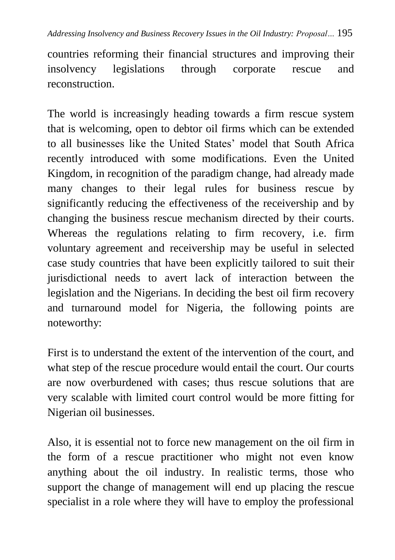*Addressing Insolvency and Business Recovery Issues in the Oil Industry: Proposal…* 195

countries reforming their financial structures and improving their insolvency legislations through corporate rescue and reconstruction.

The world is increasingly heading towards a firm rescue system that is welcoming, open to debtor oil firms which can be extended to all businesses like the United States' model that South Africa recently introduced with some modifications. Even the United Kingdom, in recognition of the paradigm change, had already made many changes to their legal rules for business rescue by significantly reducing the effectiveness of the receivership and by changing the business rescue mechanism directed by their courts. Whereas the regulations relating to firm recovery, i.e. firm voluntary agreement and receivership may be useful in selected case study countries that have been explicitly tailored to suit their jurisdictional needs to avert lack of interaction between the legislation and the Nigerians. In deciding the best oil firm recovery and turnaround model for Nigeria, the following points are noteworthy:

First is to understand the extent of the intervention of the court, and what step of the rescue procedure would entail the court. Our courts are now overburdened with cases; thus rescue solutions that are very scalable with limited court control would be more fitting for Nigerian oil businesses.

Also, it is essential not to force new management on the oil firm in the form of a rescue practitioner who might not even know anything about the oil industry. In realistic terms, those who support the change of management will end up placing the rescue specialist in a role where they will have to employ the professional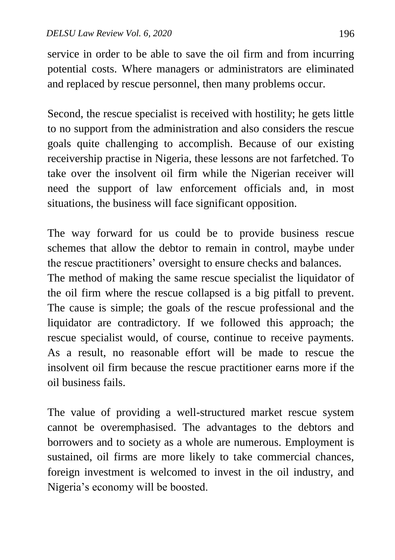service in order to be able to save the oil firm and from incurring potential costs. Where managers or administrators are eliminated and replaced by rescue personnel, then many problems occur.

Second, the rescue specialist is received with hostility; he gets little to no support from the administration and also considers the rescue goals quite challenging to accomplish. Because of our existing receivership practise in Nigeria, these lessons are not farfetched. To take over the insolvent oil firm while the Nigerian receiver will need the support of law enforcement officials and, in most situations, the business will face significant opposition.

The way forward for us could be to provide business rescue schemes that allow the debtor to remain in control, maybe under the rescue practitioners' oversight to ensure checks and balances.

The method of making the same rescue specialist the liquidator of the oil firm where the rescue collapsed is a big pitfall to prevent. The cause is simple; the goals of the rescue professional and the liquidator are contradictory. If we followed this approach; the rescue specialist would, of course, continue to receive payments. As a result, no reasonable effort will be made to rescue the insolvent oil firm because the rescue practitioner earns more if the oil business fails.

The value of providing a well-structured market rescue system cannot be overemphasised. The advantages to the debtors and borrowers and to society as a whole are numerous. Employment is sustained, oil firms are more likely to take commercial chances, foreign investment is welcomed to invest in the oil industry, and Nigeria's economy will be boosted.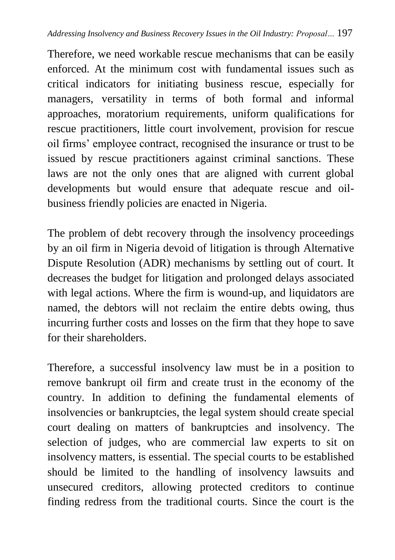Therefore, we need workable rescue mechanisms that can be easily enforced. At the minimum cost with fundamental issues such as critical indicators for initiating business rescue, especially for managers, versatility in terms of both formal and informal approaches, moratorium requirements, uniform qualifications for rescue practitioners, little court involvement, provision for rescue oil firms' employee contract, recognised the insurance or trust to be issued by rescue practitioners against criminal sanctions. These laws are not the only ones that are aligned with current global developments but would ensure that adequate rescue and oilbusiness friendly policies are enacted in Nigeria.

The problem of debt recovery through the insolvency proceedings by an oil firm in Nigeria devoid of litigation is through Alternative Dispute Resolution (ADR) mechanisms by settling out of court. It decreases the budget for litigation and prolonged delays associated with legal actions. Where the firm is wound-up, and liquidators are named, the debtors will not reclaim the entire debts owing, thus incurring further costs and losses on the firm that they hope to save for their shareholders.

Therefore, a successful insolvency law must be in a position to remove bankrupt oil firm and create trust in the economy of the country. In addition to defining the fundamental elements of insolvencies or bankruptcies, the legal system should create special court dealing on matters of bankruptcies and insolvency. The selection of judges, who are commercial law experts to sit on insolvency matters, is essential. The special courts to be established should be limited to the handling of insolvency lawsuits and unsecured creditors, allowing protected creditors to continue finding redress from the traditional courts. Since the court is the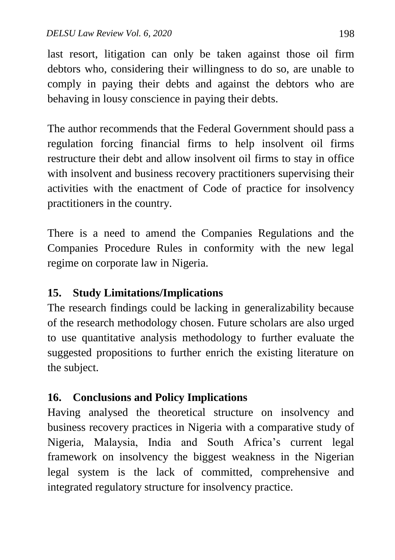last resort, litigation can only be taken against those oil firm debtors who, considering their willingness to do so, are unable to comply in paying their debts and against the debtors who are behaving in lousy conscience in paying their debts.

The author recommends that the Federal Government should pass a regulation forcing financial firms to help insolvent oil firms restructure their debt and allow insolvent oil firms to stay in office with insolvent and business recovery practitioners supervising their activities with the enactment of Code of practice for insolvency practitioners in the country.

There is a need to amend the Companies Regulations and the Companies Procedure Rules in conformity with the new legal regime on corporate law in Nigeria.

# **15. Study Limitations/Implications**

The research findings could be lacking in generalizability because of the research methodology chosen. Future scholars are also urged to use quantitative analysis methodology to further evaluate the suggested propositions to further enrich the existing literature on the subject.

# **16. Conclusions and Policy Implications**

Having analysed the theoretical structure on insolvency and business recovery practices in Nigeria with a comparative study of Nigeria, Malaysia, India and South Africa's current legal framework on insolvency the biggest weakness in the Nigerian legal system is the lack of committed, comprehensive and integrated regulatory structure for insolvency practice.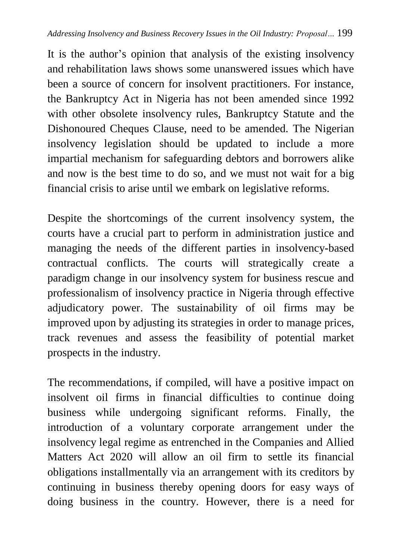It is the author's opinion that analysis of the existing insolvency and rehabilitation laws shows some unanswered issues which have been a source of concern for insolvent practitioners. For instance, the Bankruptcy Act in Nigeria has not been amended since 1992 with other obsolete insolvency rules, Bankruptcy Statute and the Dishonoured Cheques Clause, need to be amended. The Nigerian insolvency legislation should be updated to include a more impartial mechanism for safeguarding debtors and borrowers alike and now is the best time to do so, and we must not wait for a big financial crisis to arise until we embark on legislative reforms.

Despite the shortcomings of the current insolvency system, the courts have a crucial part to perform in administration justice and managing the needs of the different parties in insolvency**-**based contractual conflicts. The courts will strategically create a paradigm change in our insolvency system for business rescue and professionalism of insolvency practice in Nigeria through effective adjudicatory power. The sustainability of oil firms may be improved upon by adjusting its strategies in order to manage prices, track revenues and assess the feasibility of potential market prospects in the industry.

The recommendations, if compiled, will have a positive impact on insolvent oil firms in financial difficulties to continue doing business while undergoing significant reforms. Finally, the introduction of a voluntary corporate arrangement under the insolvency legal regime as entrenched in the Companies and Allied Matters Act 2020 will allow an oil firm to settle its financial obligations installmentally via an arrangement with its creditors by continuing in business thereby opening doors for easy ways of doing business in the country. However, there is a need for